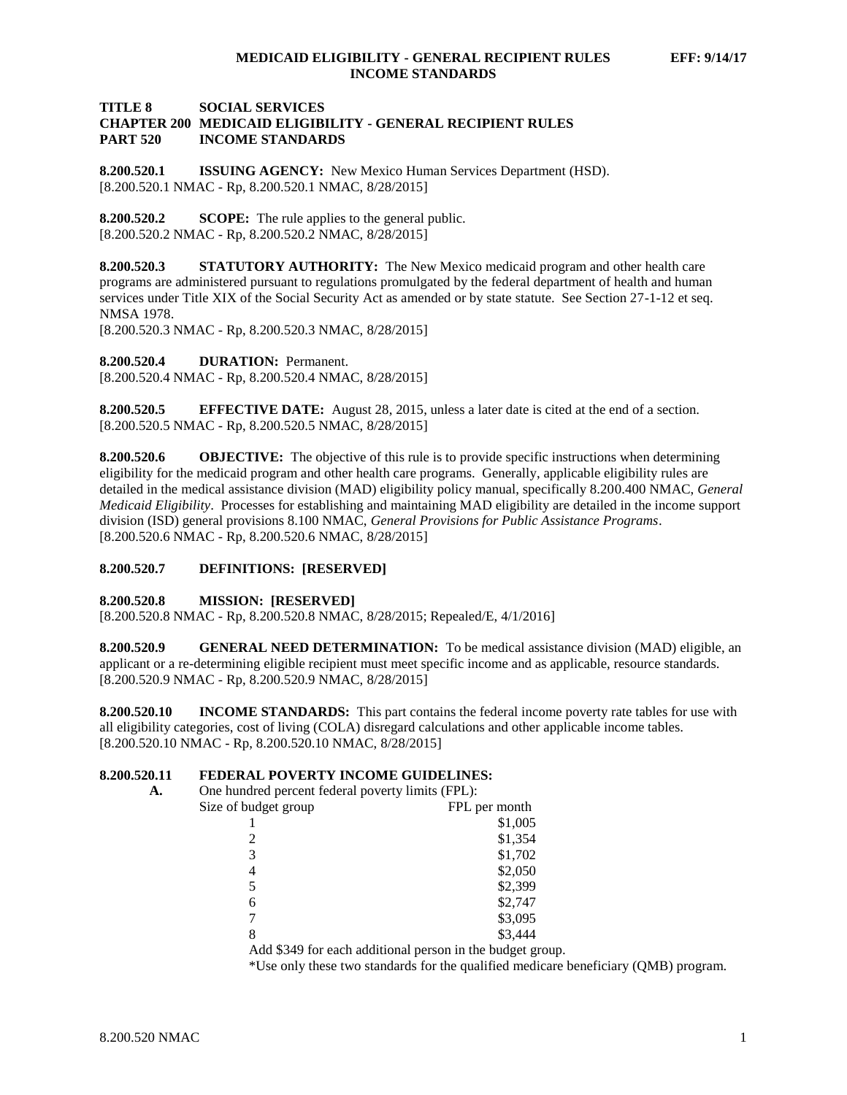### **TITLE 8 SOCIAL SERVICES CHAPTER 200 MEDICAID ELIGIBILITY - GENERAL RECIPIENT RULES PART 520 INCOME STANDARDS**

**8.200.520.1 ISSUING AGENCY:** New Mexico Human Services Department (HSD). [8.200.520.1 NMAC - Rp, 8.200.520.1 NMAC, 8/28/2015]

**8.200.520.2 SCOPE:** The rule applies to the general public. [8.200.520.2 NMAC - Rp, 8.200.520.2 NMAC, 8/28/2015]

**8.200.520.3 STATUTORY AUTHORITY:** The New Mexico medicaid program and other health care programs are administered pursuant to regulations promulgated by the federal department of health and human services under Title XIX of the Social Security Act as amended or by state statute. See Section 27-1-12 et seq. NMSA 1978.

[8.200.520.3 NMAC - Rp, 8.200.520.3 NMAC, 8/28/2015]

**8.200.520.4 DURATION:** Permanent.

[8.200.520.4 NMAC - Rp, 8.200.520.4 NMAC, 8/28/2015]

**8.200.520.5 EFFECTIVE DATE:** August 28, 2015, unless a later date is cited at the end of a section. [8.200.520.5 NMAC - Rp, 8.200.520.5 NMAC, 8/28/2015]

**8.200.520.6 OBJECTIVE:** The objective of this rule is to provide specific instructions when determining eligibility for the medicaid program and other health care programs. Generally, applicable eligibility rules are detailed in the medical assistance division (MAD) eligibility policy manual, specifically 8.200.400 NMAC, *General Medicaid Eligibility*. Processes for establishing and maintaining MAD eligibility are detailed in the income support division (ISD) general provisions 8.100 NMAC, *General Provisions for Public Assistance Programs*. [8.200.520.6 NMAC - Rp, 8.200.520.6 NMAC, 8/28/2015]

### **8.200.520.7 DEFINITIONS: [RESERVED]**

#### **8.200.520.8 MISSION: [RESERVED]**

[8.200.520.8 NMAC - Rp, 8.200.520.8 NMAC, 8/28/2015; Repealed/E, 4/1/2016]

**8.200.520.9 GENERAL NEED DETERMINATION:** To be medical assistance division (MAD) eligible, an applicant or a re-determining eligible recipient must meet specific income and as applicable, resource standards. [8.200.520.9 NMAC - Rp, 8.200.520.9 NMAC, 8/28/2015]

**8.200.520.10 INCOME STANDARDS:** This part contains the federal income poverty rate tables for use with all eligibility categories, cost of living (COLA) disregard calculations and other applicable income tables. [8.200.520.10 NMAC - Rp, 8.200.520.10 NMAC, 8/28/2015]

# **8.200.520.11 <b>FEDERAL POVERTY INCOME GUIDELINES:**<br>A. One hundred percent federal poverty limits (FPL):

| One hundred percent federal poverty limits (FPL): |                                                           |
|---------------------------------------------------|-----------------------------------------------------------|
| Size of budget group                              | FPL per month                                             |
|                                                   | \$1,005                                                   |
|                                                   | \$1,354                                                   |
| 3                                                 | \$1,702                                                   |
| 4                                                 | \$2,050                                                   |
|                                                   | \$2,399                                                   |
| 6                                                 | \$2,747                                                   |
|                                                   | \$3,095                                                   |
| 8                                                 | \$3,444                                                   |
|                                                   | Add \$349 for each additional person in the budget group. |

\*Use only these two standards for the qualified medicare beneficiary (QMB) program.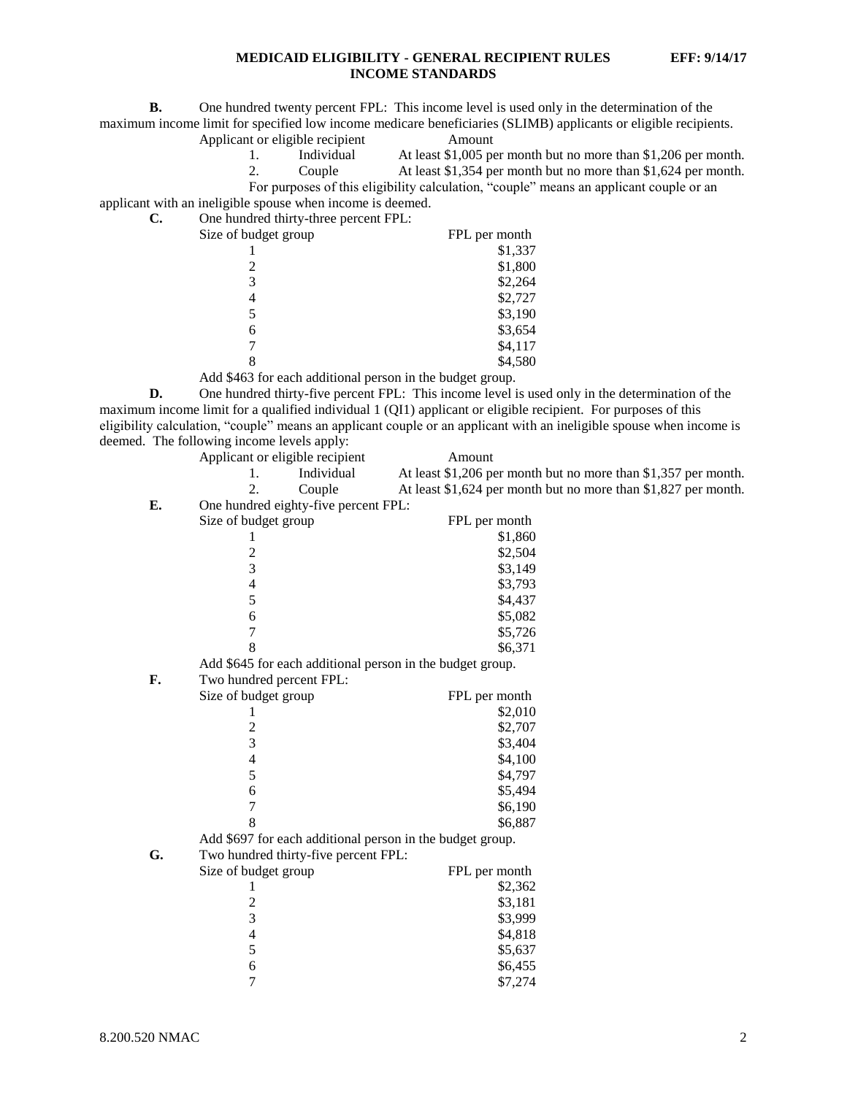**B.** One hundred twenty percent FPL: This income level is used only in the determination of the maximum income limit for specified low income medicare beneficiaries (SLIMB) applicants or eligible recipients.

Applicant or eligible recipient Amount

1. Individual At least \$1,005 per month but no more than \$1,206 per month.

2. Couple At least \$1,354 per month but no more than \$1,624 per month.

For purposes of this eligibility calculation, "couple" means an applicant couple or an

applicant with an ineligible spouse when income is deemed.

**C.** One hundred thirty-three percent FPL:

| Size of budget group                                                                                                                                            | FPL per month |
|-----------------------------------------------------------------------------------------------------------------------------------------------------------------|---------------|
|                                                                                                                                                                 | \$1,337       |
| $\mathcal{D}_{\mathcal{A}}^{\mathcal{A}}(\mathcal{A})=\mathcal{D}_{\mathcal{A}}^{\mathcal{A}}(\mathcal{A})\mathcal{D}_{\mathcal{A}}^{\mathcal{A}}(\mathcal{A})$ | \$1,800       |
| 3                                                                                                                                                               | \$2,264       |
|                                                                                                                                                                 | \$2,727       |
|                                                                                                                                                                 | \$3,190       |
| 6                                                                                                                                                               | \$3,654       |
|                                                                                                                                                                 | \$4,117       |
|                                                                                                                                                                 | \$4,580       |
|                                                                                                                                                                 |               |

Add \$463 for each additional person in the budget group.

**D.** One hundred thirty-five percent FPL: This income level is used only in the determination of the maximum income limit for a qualified individual 1 (QI1) applicant or eligible recipient. For purposes of this eligibility calculation, "couple" means an applicant couple or an applicant with an ineligible spouse when income is deemed. The following income levels apply:

|    | Applicant or eligible recipient                           | Amount                                                         |
|----|-----------------------------------------------------------|----------------------------------------------------------------|
|    | Individual<br>1.                                          | At least \$1,206 per month but no more than \$1,357 per month. |
|    | 2.<br>Couple                                              | At least \$1,624 per month but no more than \$1,827 per month. |
| Е. | One hundred eighty-five percent FPL:                      |                                                                |
|    | Size of budget group                                      | FPL per month                                                  |
|    | 1                                                         | \$1,860                                                        |
|    |                                                           | \$2,504                                                        |
|    | $\frac{2}{3}$                                             | \$3,149                                                        |
|    | $\overline{\mathcal{L}}$                                  | \$3,793                                                        |
|    | 5                                                         | \$4,437                                                        |
|    | 6                                                         | \$5,082                                                        |
|    | $\overline{7}$                                            | \$5,726                                                        |
|    | 8                                                         | \$6,371                                                        |
|    | Add \$645 for each additional person in the budget group. |                                                                |
| F. | Two hundred percent FPL:                                  |                                                                |
|    | Size of budget group                                      | FPL per month                                                  |
|    | 1                                                         | \$2,010                                                        |
|    | $\overline{\mathbf{c}}$                                   | \$2,707                                                        |
|    | 3                                                         | \$3,404                                                        |
|    | $\overline{\mathcal{L}}$                                  | \$4,100                                                        |
|    | 5                                                         | \$4,797                                                        |
|    | 6                                                         | \$5,494                                                        |
|    | $\overline{7}$                                            | \$6,190                                                        |
|    | 8                                                         | \$6,887                                                        |
|    | Add \$697 for each additional person in the budget group. |                                                                |
| G. | Two hundred thirty-five percent FPL:                      |                                                                |
|    | Size of budget group                                      | FPL per month                                                  |
|    | 1                                                         | \$2,362                                                        |
|    | $\overline{c}$                                            | \$3,181                                                        |
|    | 3                                                         | \$3,999                                                        |
|    | $\overline{4}$                                            | \$4,818                                                        |
|    | 5                                                         | \$5,637                                                        |
|    | 6                                                         | \$6,455                                                        |
|    | $\overline{7}$                                            | \$7,274                                                        |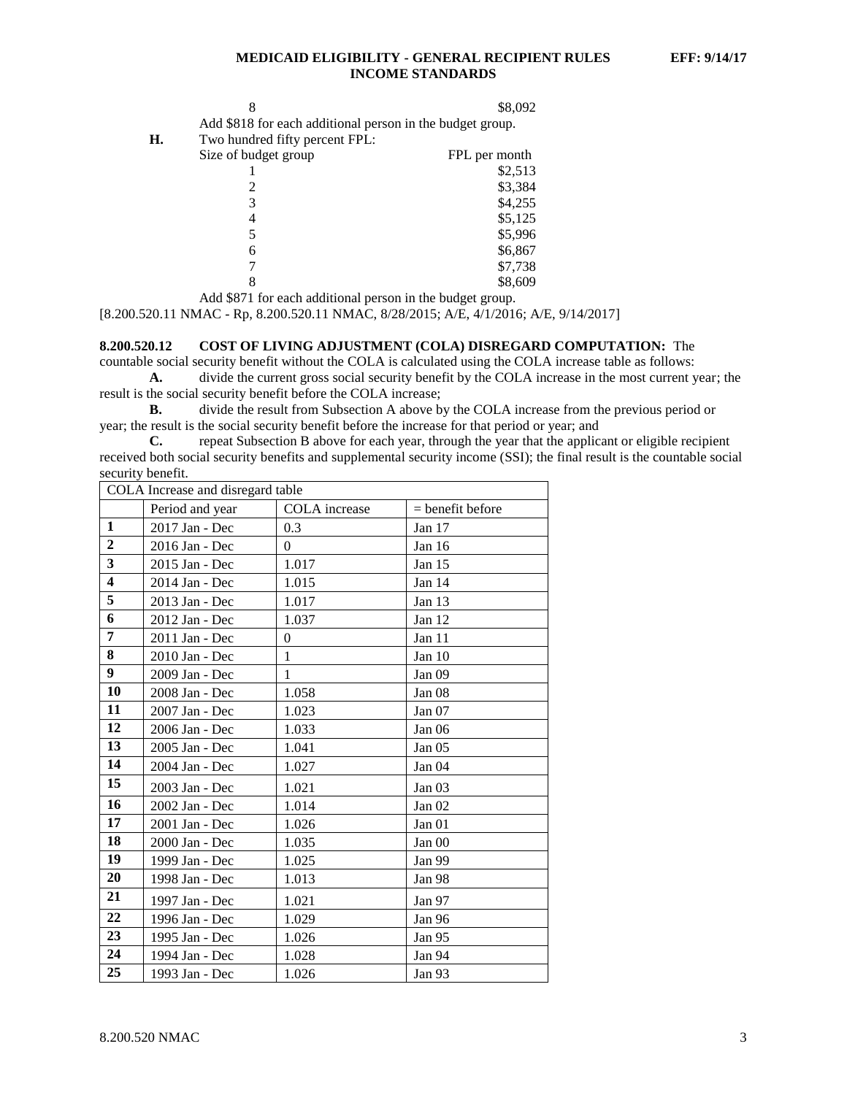|    |                                                           | \$8,092       |
|----|-----------------------------------------------------------|---------------|
|    | Add \$818 for each additional person in the budget group. |               |
| Н. | Two hundred fifty percent FPL:                            |               |
|    | Size of budget group                                      | FPL per month |
|    |                                                           | \$2,513       |
|    |                                                           | \$3,384       |
|    | 3                                                         | \$4,255       |
|    |                                                           | \$5,125       |
|    | 5                                                         | \$5,996       |
|    | 6                                                         | \$6,867       |
|    |                                                           | \$7,738       |

Add \$871 for each additional person in the budget group.

[8.200.520.11 NMAC - Rp, 8.200.520.11 NMAC, 8/28/2015; A/E, 4/1/2016; A/E, 9/14/2017]

#### **8.200.520.12 COST OF LIVING ADJUSTMENT (COLA) DISREGARD COMPUTATION:** The

8 \$8,609

countable social security benefit without the COLA is calculated using the COLA increase table as follows:

**A.** divide the current gross social security benefit by the COLA increase in the most current year; the result is the social security benefit before the COLA increase;

**B.** divide the result from Subsection A above by the COLA increase from the previous period or year; the result is the social security benefit before the increase for that period or year; and

**C.** repeat Subsection B above for each year, through the year that the applicant or eligible recipient received both social security benefits and supplemental security income (SSI); the final result is the countable social security benefit.

|                         | COLA Increase and disregard table |               |                    |  |  |
|-------------------------|-----------------------------------|---------------|--------------------|--|--|
|                         | Period and year                   | COLA increase | $=$ benefit before |  |  |
| 1                       | 2017 Jan - Dec                    | 0.3           | Jan 17             |  |  |
| $\overline{2}$          | 2016 Jan - Dec                    | $\theta$      | Jan $16$           |  |  |
| $\overline{\mathbf{3}}$ | 2015 Jan - Dec                    | 1.017         | Jan 15             |  |  |
| $\overline{\mathbf{4}}$ | 2014 Jan - Dec                    | 1.015         | Jan 14             |  |  |
| $\overline{5}$          | 2013 Jan - Dec                    | 1.017         | Jan 13             |  |  |
| 6                       | 2012 Jan - Dec                    | 1.037         | Jan 12             |  |  |
| 7                       | 2011 Jan - Dec                    | $\Omega$      | Jan 11             |  |  |
| 8                       | 2010 Jan - Dec                    | 1             | Jan 10             |  |  |
| 9 <sup>1</sup>          | 2009 Jan - Dec                    | 1             | Jan <sub>09</sub>  |  |  |
| 10                      | 2008 Jan - Dec                    | 1.058         | Jan <sub>08</sub>  |  |  |
| 11                      | 2007 Jan - Dec                    | 1.023         | Jan 07             |  |  |
| 12                      | 2006 Jan - Dec                    | 1.033         | Jan 06             |  |  |
| 13                      | 2005 Jan - Dec                    | 1.041         | Jan 05             |  |  |
| 14                      | 2004 Jan - Dec                    | 1.027         | Jan <sub>04</sub>  |  |  |
| 15                      | 2003 Jan - Dec                    | 1.021         | Jan <sub>03</sub>  |  |  |
| 16                      | 2002 Jan - Dec                    | 1.014         | Jan $02$           |  |  |
| 17                      | 2001 Jan - Dec                    | 1.026         | Jan <sub>01</sub>  |  |  |
| 18                      | 2000 Jan - Dec                    | 1.035         | Jan 00             |  |  |
| 19                      | 1999 Jan - Dec                    | 1.025         | Jan 99             |  |  |
| 20                      | 1998 Jan - Dec                    | 1.013         | Jan 98             |  |  |
| 21                      | 1997 Jan - Dec                    | 1.021         | Jan 97             |  |  |
| 22                      | 1996 Jan - Dec                    | 1.029         | Jan 96             |  |  |
| 23                      | 1995 Jan - Dec                    | 1.026         | Jan 95             |  |  |
| 24                      | 1994 Jan - Dec                    | 1.028         | Jan 94             |  |  |
| 25                      | 1993 Jan - Dec                    | 1.026         | Jan 93             |  |  |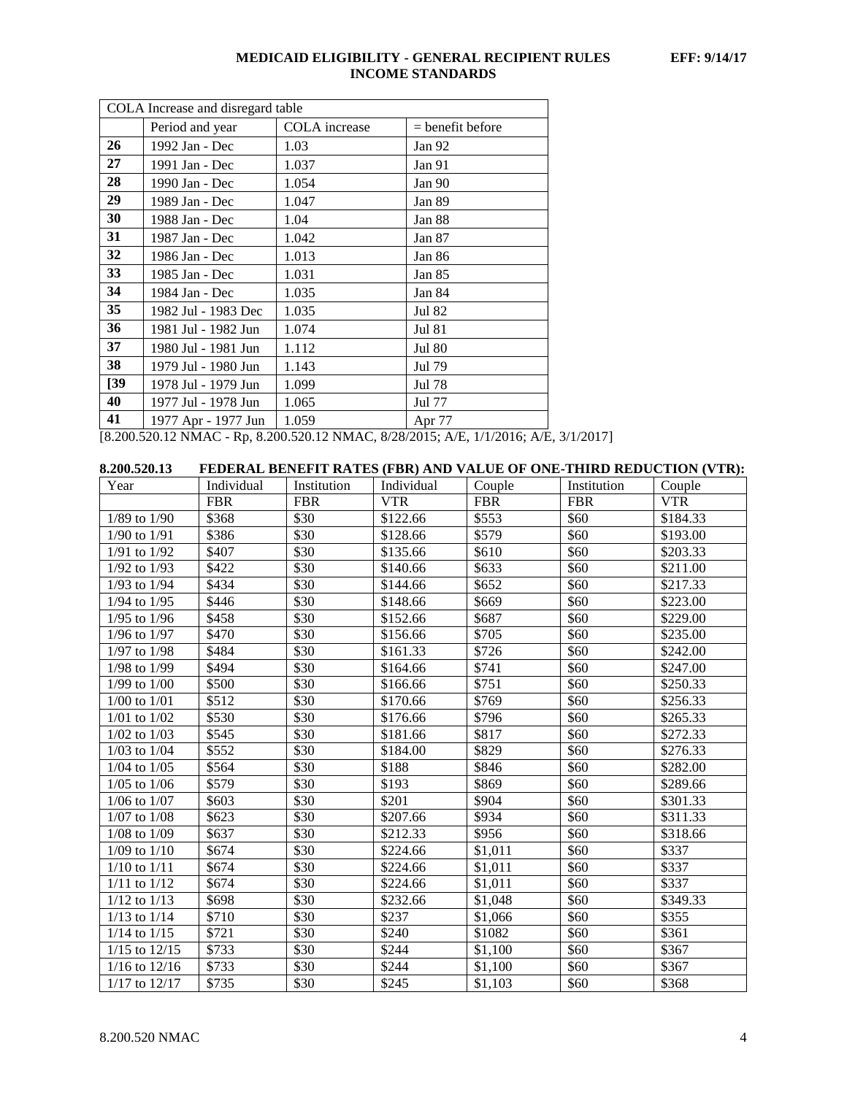| COLA Increase and disregard table |                             |                                                                                            |  |  |
|-----------------------------------|-----------------------------|--------------------------------------------------------------------------------------------|--|--|
| Period and year                   | <b>COLA</b> increase        | $=$ benefit before                                                                         |  |  |
| 1992 Jan - Dec                    | 1.03                        | Jan 92                                                                                     |  |  |
| 1991 Jan - Dec                    | 1.037                       | Jan 91                                                                                     |  |  |
| 1990 Jan - Dec                    | 1.054                       | Jan 90                                                                                     |  |  |
| 1989 Jan - Dec                    | 1.047                       | Jan 89                                                                                     |  |  |
| 1988 Jan - Dec                    | 1.04                        | Jan 88                                                                                     |  |  |
| 1987 Jan - Dec                    | 1.042                       | Jan $87$                                                                                   |  |  |
| 1986 Jan - Dec                    | 1.013                       | Jan 86                                                                                     |  |  |
| 1985 Jan - Dec                    | 1.031                       | Jan 85                                                                                     |  |  |
| 1984 Jan - Dec                    | 1.035                       | Jan 84                                                                                     |  |  |
| 1982 Jul - 1983 Dec               | 1.035                       | Jul 82                                                                                     |  |  |
| 1981 Jul - 1982 Jun               | 1.074                       | Jul 81                                                                                     |  |  |
| 1980 Jul - 1981 Jun               | 1.112                       | Jul 80                                                                                     |  |  |
| 1979 Jul - 1980 Jun               | 1.143                       | Jul 79                                                                                     |  |  |
| 1978 Jul - 1979 Jun               | 1.099                       | Jul 78                                                                                     |  |  |
| 1977 Jul - 1978 Jun               | 1.065                       | Jul 77                                                                                     |  |  |
| 1977 Apr - 1977 Jun               | 1.059                       | Apr 77                                                                                     |  |  |
|                                   | $10.200.520.12 \text{ MHz}$ | $0.200.520.12 \text{ m}$ $\mu$ $\sigma$ $0.200215 \text{ m}$ $\sigma$ $1.4.2015 \text{ m}$ |  |  |

[8.200.520.12 NMAC - Rp, 8.200.520.12 NMAC, 8/28/2015; A/E, 1/1/2016; A/E, 3/1/2017]

| 8.200.520.13      |            |             |            |            |             | FEDERAL BENEFIT RATES (FBR) AND VALUE OF ONE-THIRD REDUCTION (VTR): |
|-------------------|------------|-------------|------------|------------|-------------|---------------------------------------------------------------------|
| Year              | Individual | Institution | Individual | Couple     | Institution | Couple                                                              |
|                   | <b>FBR</b> | <b>FBR</b>  | <b>VTR</b> | <b>FBR</b> | <b>FBR</b>  | <b>VTR</b>                                                          |
| 1/89 to 1/90      | \$368      | \$30        | \$122.66   | \$553      | \$60        | \$184.33                                                            |
| $1/90$ to $1/91$  | \$386      | \$30        | \$128.66   | \$579      | \$60        | \$193.00                                                            |
| $1/91$ to $1/92$  | \$407      | \$30        | \$135.66   | \$610      | \$60        | \$203.33                                                            |
| $1/92$ to $1/93$  | \$422      | \$30        | \$140.66   | \$633      | \$60        | \$211.00                                                            |
| $1/93$ to $1/94$  | \$434      | \$30        | \$144.66   | \$652      | \$60        | \$217.33                                                            |
| $1/94$ to $1/95$  | \$446      | \$30        | \$148.66   | \$669      | \$60        | \$223.00                                                            |
| $1/95$ to $1/96$  | \$458      | \$30        | \$152.66   | \$687      | \$60        | \$229.00                                                            |
| 1/96 to 1/97      | \$470      | \$30        | \$156.66   | \$705      | \$60        | \$235.00                                                            |
| $1/97$ to $1/98$  | \$484      | \$30        | \$161.33   | \$726      | \$60        | \$242.00                                                            |
| 1/98 to 1/99      | \$494      | \$30        | \$164.66   | \$741      | \$60        | \$247.00                                                            |
| $1/99$ to $1/00$  | \$500      | \$30        | \$166.66   | \$751      | \$60        | \$250.33                                                            |
| $1/00$ to $1/01$  | \$512      | \$30        | \$170.66   | \$769      | \$60        | \$256.33                                                            |
| $1/01$ to $1/02$  | \$530      | \$30        | \$176.66   | \$796      | \$60        | \$265.33                                                            |
| $1/02$ to $1/03$  | \$545      | \$30        | \$181.66   | \$817      | \$60        | \$272.33                                                            |
| $1/03$ to $1/04$  | \$552      | \$30        | \$184.00   | \$829      | \$60        | \$276.33                                                            |
| $1/04$ to $1/05$  | \$564      | \$30        | \$188      | \$846      | \$60        | \$282.00                                                            |
| $1/05$ to $1/06$  | \$579      | \$30        | \$193      | \$869      | \$60        | \$289.66                                                            |
| $1/06$ to $1/07$  | \$603      | \$30        | \$201      | \$904      | \$60        | \$301.33                                                            |
| $1/07$ to $1/08$  | \$623      | \$30        | \$207.66   | \$934      | \$60        | \$311.33                                                            |
| $1/08$ to $1/09$  | \$637      | \$30        | \$212.33   | \$956      | \$60        | \$318.66                                                            |
| $1/09$ to $1/10$  | \$674      | \$30        | \$224.66   | \$1,011    | \$60        | \$337                                                               |
| $1/10$ to $1/11$  | \$674      | \$30        | \$224.66   | \$1,011    | \$60        | \$337                                                               |
| $1/11$ to $1/12$  | \$674      | \$30        | \$224.66   | \$1,011    | \$60        | \$337                                                               |
| $1/12$ to $1/13$  | \$698      | \$30        | \$232.66   | \$1,048    | \$60        | \$349.33                                                            |
| $1/13$ to $1/14$  | \$710      | \$30        | \$237      | \$1,066    | \$60        | \$355                                                               |
| $1/14$ to $1/15$  | \$721      | \$30        | \$240      | \$1082     | \$60        | \$361                                                               |
| $1/15$ to $12/15$ | \$733      | \$30        | \$244      | \$1,100    | \$60        | \$367                                                               |
| $1/16$ to $12/16$ | \$733      | \$30        | \$244      | \$1,100    | \$60        | \$367                                                               |
| 1/17 to 12/17     | \$735      | \$30        | \$245      | \$1,103    | \$60        | \$368                                                               |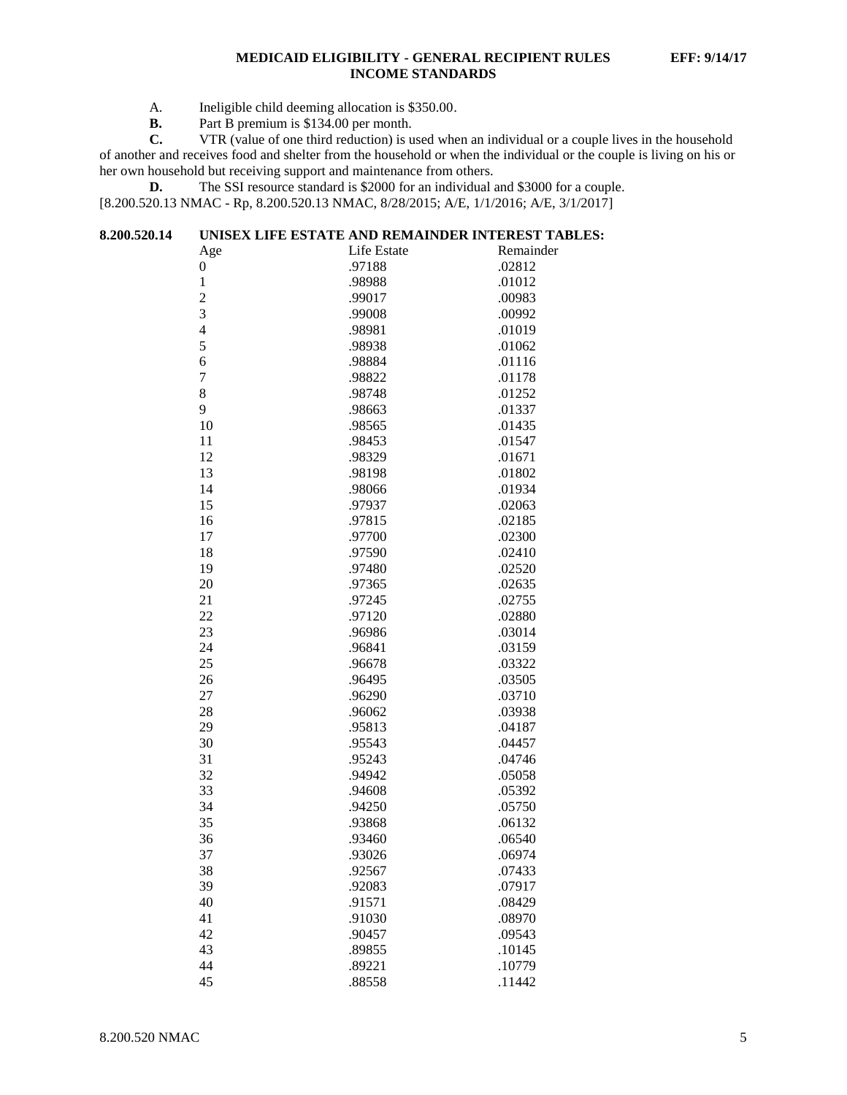- A. Ineligible child deeming allocation is \$350.00.<br>**B.** Part B premium is \$134.00 per month.
- **B.** Part B premium is \$134.00 per month.<br>**C.** VTR (value of one third reduction) is u

**C.** VTR (value of one third reduction) is used when an individual or a couple lives in the household of another and receives food and shelter from the household or when the individual or the couple is living on his or her own household but receiving support and maintenance from others.

**D.** The SSI resource standard is \$2000 for an individual and \$3000 for a couple. [8.200.520.13 NMAC - Rp, 8.200.520.13 NMAC, 8/28/2015; A/E, 1/1/2016; A/E, 3/1/2017]

| 8.200.520.14 | UNISEX LIFE ESTATE AND REMAINDER INTEREST TABLES: |             |           |  |  |
|--------------|---------------------------------------------------|-------------|-----------|--|--|
|              | Age                                               | Life Estate | Remainder |  |  |
|              | $\boldsymbol{0}$                                  | .97188      | .02812    |  |  |
|              | $\mathbf 1$                                       | .98988      | .01012    |  |  |
|              | $\overline{c}$                                    | .99017      | .00983    |  |  |
|              | 3                                                 | .99008      | .00992    |  |  |
|              | $\overline{4}$                                    | .98981      | .01019    |  |  |
|              | 5                                                 | .98938      | .01062    |  |  |
|              | 6                                                 | .98884      | .01116    |  |  |
|              | $\tau$                                            | .98822      | .01178    |  |  |
|              | 8                                                 | .98748      | .01252    |  |  |
|              | 9                                                 | .98663      | .01337    |  |  |
|              | 10                                                | .98565      | .01435    |  |  |
|              | 11                                                | .98453      | .01547    |  |  |
|              | 12                                                | .98329      | .01671    |  |  |
|              | 13                                                | .98198      | .01802    |  |  |
|              | 14                                                | .98066      | .01934    |  |  |
|              | 15                                                | .97937      | .02063    |  |  |
|              | 16                                                | .97815      | .02185    |  |  |
|              | 17                                                | .97700      | .02300    |  |  |
|              | 18                                                | .97590      | .02410    |  |  |
|              | 19                                                | .97480      | .02520    |  |  |
|              | 20                                                | .97365      | .02635    |  |  |
|              | 21                                                | .97245      | .02755    |  |  |
|              | 22                                                | .97120      | .02880    |  |  |
|              | 23                                                | .96986      | .03014    |  |  |
|              | 24                                                | .96841      | .03159    |  |  |
|              | 25                                                | .96678      | .03322    |  |  |
|              | 26                                                | .96495      | .03505    |  |  |
|              | 27                                                | .96290      | .03710    |  |  |
|              | 28                                                | .96062      | .03938    |  |  |
|              | 29                                                | .95813      | .04187    |  |  |
|              | 30                                                | .95543      | .04457    |  |  |
|              | 31                                                | .95243      | .04746    |  |  |
|              | 32                                                | .94942      | .05058    |  |  |
|              | 33                                                | .94608      | .05392    |  |  |
|              | 34                                                | .94250      | .05750    |  |  |
|              | 35                                                | .93868      | .06132    |  |  |
|              | 36                                                | .93460      | .06540    |  |  |
|              | 37                                                | .93026      | .06974    |  |  |
|              | 38                                                | .92567      | .07433    |  |  |
|              | 39                                                | .92083      | .07917    |  |  |
|              | 40                                                | .91571      | .08429    |  |  |
|              | 41                                                | .91030      | .08970    |  |  |
|              | 42                                                | .90457      | .09543    |  |  |
|              | 43                                                | .89855      | .10145    |  |  |
|              | 44                                                | .89221      | .10779    |  |  |
|              | 45                                                | .88558      | .11442    |  |  |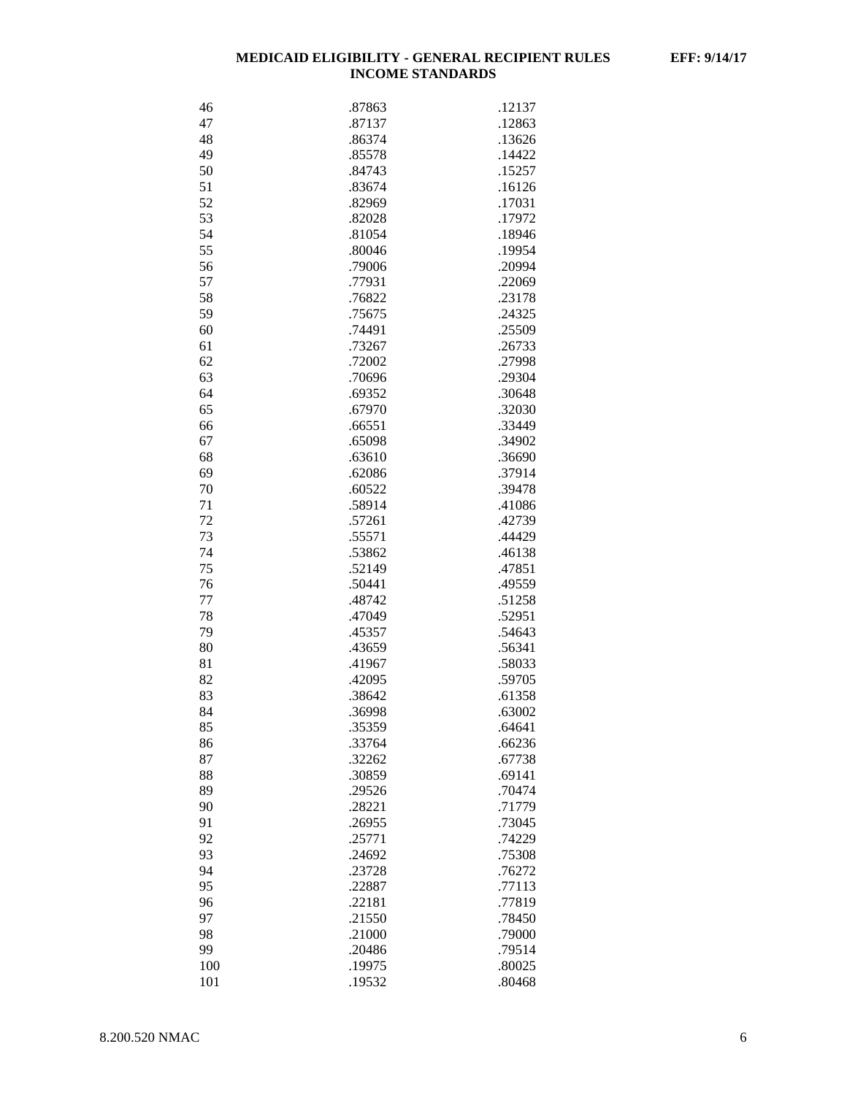| 46       | .87863           | .12137           |
|----------|------------------|------------------|
| 47       | .87137           | .12863           |
| 48       | .86374           | .13626           |
| 49       | .85578           | .14422           |
| 50       | .84743           | .15257           |
| 51       | .83674           | .16126           |
| 52       | .82969           | .17031           |
| 53       | .82028           | .17972           |
| 54       | .81054           | .18946           |
| 55       | .80046           | .19954           |
| 56       | .79006           | .20994           |
| 57       | .77931           | .22069           |
| 58       | .76822           | .23178           |
| 59       | .75675           | .24325           |
| 60       | .74491           | .25509           |
| 61       | .73267           | .26733           |
| 62       | .72002           | .27998           |
| 63       | .70696           | .29304           |
| 64       | .69352           | .30648           |
| 65       | .67970           |                  |
|          | .66551           | .32030           |
| 66<br>67 | .65098           | .33449<br>.34902 |
|          |                  |                  |
| 68<br>69 | .63610<br>.62086 | .36690<br>.37914 |
| 70       |                  | .39478           |
| 71       | .60522<br>.58914 |                  |
| 72       | .57261           | .41086<br>.42739 |
| 73       | .55571           | .44429           |
| 74       | .53862           | .46138           |
| 75       | .52149           | .47851           |
| 76       | .50441           | .49559           |
| 77       | .48742           | .51258           |
| 78       | .47049           | .52951           |
| 79       | .45357           | .54643           |
| 80       | .43659           | .56341           |
| 81       | .41967           | .58033           |
| 82       | .42095           | .59705           |
| 83       | .38642           | .61358           |
| 84       | .36998           | .63002           |
| 85       | .35359           | .64641           |
| 86       | .33764           | .66236           |
| 87       | .32262           | .67738           |
| 88       | .30859           | .69141           |
| 89       | .29526           | .70474           |
| 90       | .28221           | .71779           |
| 91       | .26955           | .73045           |
| 92       | .25771           | .74229           |
| 93       | .24692           | .75308           |
| 94       | .23728           | .76272           |
| 95       | .22887           | .77113           |
| 96       | .22181           | .77819           |
| 97       | .21550           | .78450           |
| 98       | .21000           | .79000           |
| 99       | .20486           | .79514           |
| 100      | .19975           | .80025           |
| 101      | .19532           | .80468           |
|          |                  |                  |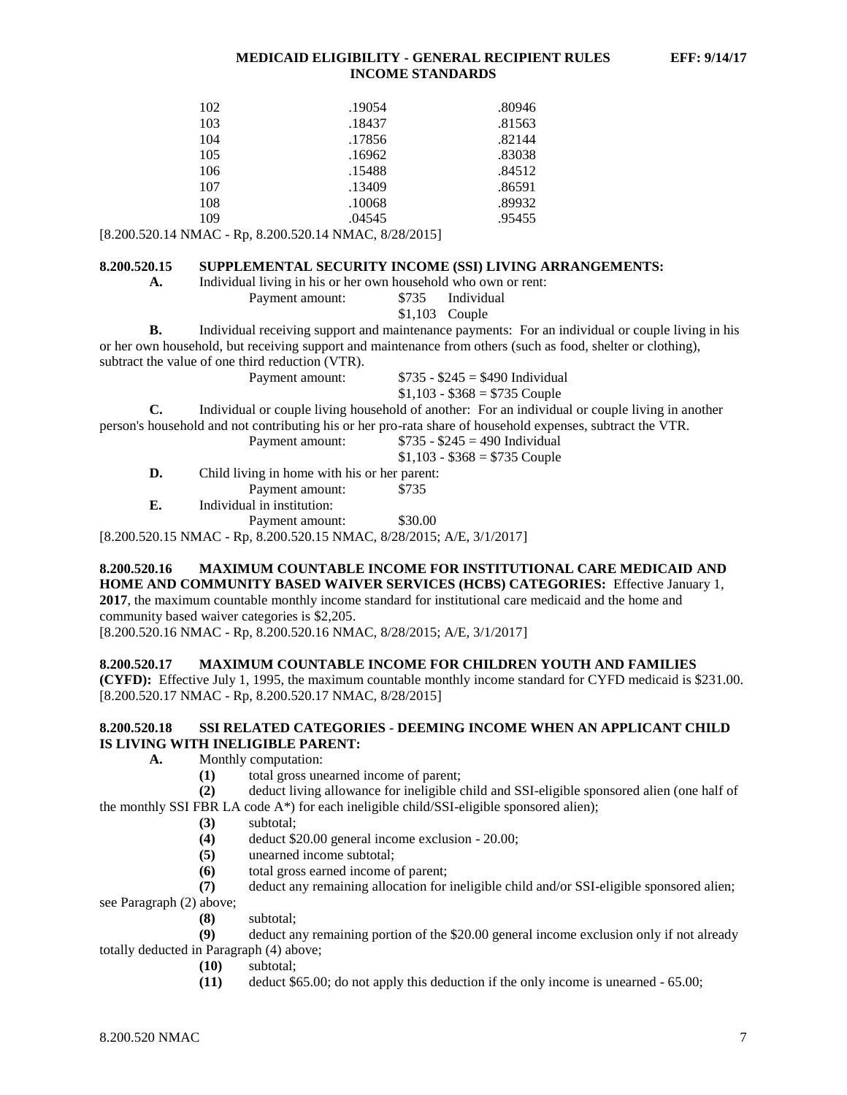| 102 | .19054 | .80946 |
|-----|--------|--------|
| 103 | .18437 | .81563 |
| 104 | .17856 | .82144 |
| 105 | .16962 | .83038 |
| 106 | .15488 | .84512 |
| 107 | .13409 | .86591 |
| 108 | .10068 | .89932 |
| 109 | .04545 | .95455 |

[8.200.520.14 NMAC - Rp, 8.200.520.14 NMAC, 8/28/2015]

#### **8.200.520.15 SUPPLEMENTAL SECURITY INCOME (SSI) LIVING ARRANGEMENTS:**

| A. |  |  |  |  |  | Individual living in his or her own household who own or rent: |
|----|--|--|--|--|--|----------------------------------------------------------------|
|----|--|--|--|--|--|----------------------------------------------------------------|

| \$735 | Individual |
|-------|------------|
|-------|------------|

\$1,103 Couple

**B.** Individual receiving support and maintenance payments: For an individual or couple living in his or her own household, but receiving support and maintenance from others (such as food, shelter or clothing), subtract the value of one third reduction (VTR).

Payment amount:  $$735 - $245 = $490$  Individual

Payment amount:

 $$1,103 - $368 = $735$  Couple

**C.** Individual or couple living household of another: For an individual or couple living in another

person's household and not contributing his or her pro-rata share of household expenses, subtract the VTR.

|    | Payment amount:                              | $$735 - $245 = 490$ Individual |
|----|----------------------------------------------|--------------------------------|
|    |                                              | $$1,103 - $368 = $735$ Couple  |
| D. | Child living in home with his or her parent: |                                |
|    | Payment amount:                              | \$735                          |
| E. | Individual in institution:                   |                                |
|    |                                              |                                |

Payment amount: \$30.00

[8.200.520.15 NMAC - Rp, 8.200.520.15 NMAC, 8/28/2015; A/E, 3/1/2017]

# **8.200.520.16 MAXIMUM COUNTABLE INCOME FOR INSTITUTIONAL CARE MEDICAID AND HOME AND COMMUNITY BASED WAIVER SERVICES (HCBS) CATEGORIES:** Effective January 1,

**2017**, the maximum countable monthly income standard for institutional care medicaid and the home and community based waiver categories is \$2,205.

[8.200.520.16 NMAC - Rp, 8.200.520.16 NMAC, 8/28/2015; A/E, 3/1/2017]

#### **8.200.520.17 MAXIMUM COUNTABLE INCOME FOR CHILDREN YOUTH AND FAMILIES**

**(CYFD):** Effective July 1, 1995, the maximum countable monthly income standard for CYFD medicaid is \$231.00. [8.200.520.17 NMAC - Rp, 8.200.520.17 NMAC, 8/28/2015]

#### **8.200.520.18 SSI RELATED CATEGORIES - DEEMING INCOME WHEN AN APPLICANT CHILD IS LIVING WITH INELIGIBLE PARENT:**

- **A.** Monthly computation:
	- **(1)** total gross unearned income of parent;
- **(2)** deduct living allowance for ineligible child and SSI-eligible sponsored alien (one half of the monthly SSI FBR LA code  $A^*$ ) for each ineligible child/SSI-eligible sponsored alien);
	- **(3)** subtotal;
	- **(4)** deduct \$20.00 general income exclusion 20.00;
	- **(5)** unearned income subtotal;
	- **(6)** total gross earned income of parent;
	- **(7)** deduct any remaining allocation for ineligible child and/or SSI-eligible sponsored alien;

see Paragraph (2) above;

**(8)** subtotal;

**(9)** deduct any remaining portion of the \$20.00 general income exclusion only if not already totally deducted in Paragraph (4) above;

- **(10)** subtotal;
- **(11)** deduct \$65.00; do not apply this deduction if the only income is unearned 65.00;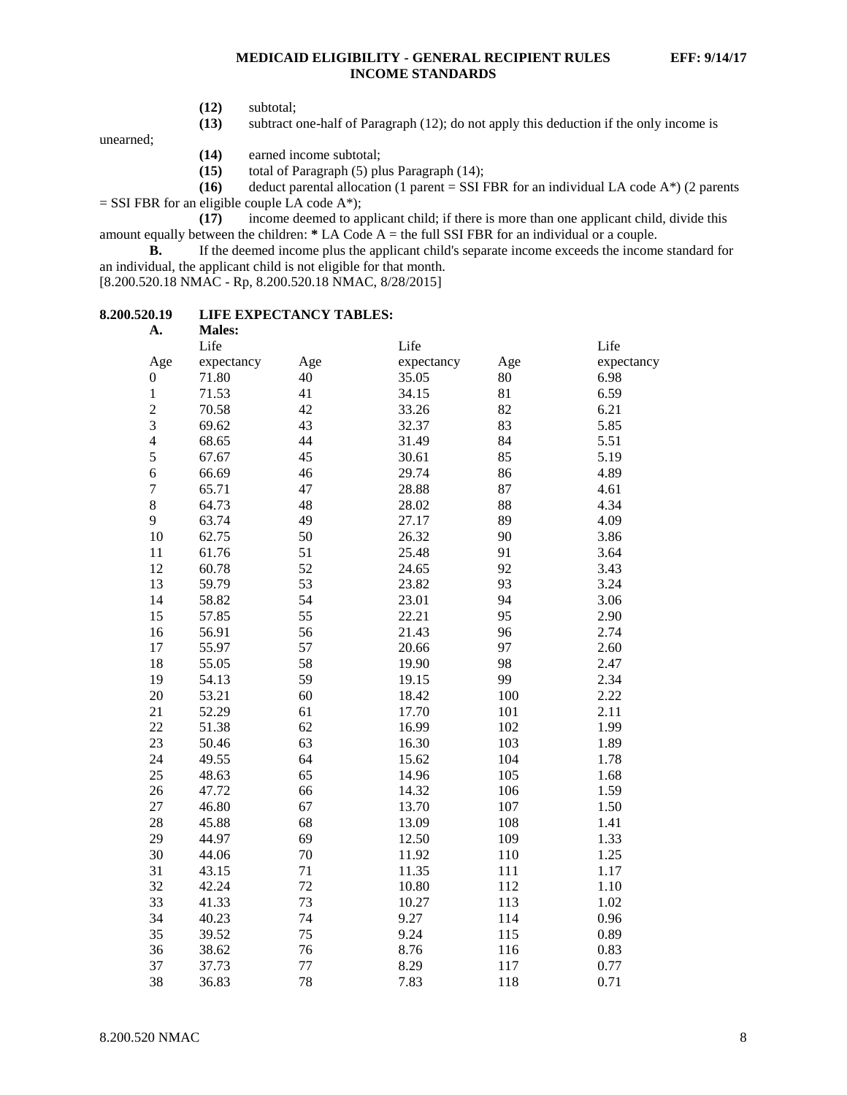- **(12)** subtotal;
- **(13)** subtract one-half of Paragraph (12); do not apply this deduction if the only income is

unearned;

- **(14)** earned income subtotal;
- **(15)** total of Paragraph (5) plus Paragraph (14);
- **(16)** deduct parental allocation (1 parent = SSI FBR for an individual LA code A\*) (2 parents
- $=$  SSI FBR for an eligible couple LA code A\*);

**(17)** income deemed to applicant child; if there is more than one applicant child, divide this amount equally between the children: **\*** LA Code A = the full SSI FBR for an individual or a couple.

**B.** If the deemed income plus the applicant child's separate income exceeds the income standard for an individual, the applicant child is not eligible for that month.

[8.200.520.18 NMAC - Rp, 8.200.520.18 NMAC, 8/28/2015]

#### **8.200.520.19 LIFE EXPECTANCY TABLES: A. Males:**

| д.               | <b>NIAICS.</b> |     |            |     |            |
|------------------|----------------|-----|------------|-----|------------|
|                  | Life           |     | Life       |     | Life       |
| Age              | expectancy     | Age | expectancy | Age | expectancy |
| $\boldsymbol{0}$ | 71.80          | 40  | 35.05      | 80  | 6.98       |
| $\,1$            | 71.53          | 41  | 34.15      | 81  | 6.59       |
| $\overline{c}$   | 70.58          | 42  | 33.26      | 82  | 6.21       |
| 3                | 69.62          | 43  | 32.37      | 83  | 5.85       |
| $\overline{4}$   | 68.65          | 44  | 31.49      | 84  | 5.51       |
| 5                | 67.67          | 45  | 30.61      | 85  | 5.19       |
| $\overline{6}$   | 66.69          | 46  | 29.74      | 86  | 4.89       |
| $\sqrt{ }$       | 65.71          | 47  | 28.88      | 87  | 4.61       |
| 8                | 64.73          | 48  | 28.02      | 88  | 4.34       |
| 9                | 63.74          | 49  | 27.17      | 89  | 4.09       |
| 10               | 62.75          | 50  | 26.32      | 90  | 3.86       |
| $11\,$           | 61.76          | 51  | 25.48      | 91  | 3.64       |
| 12               | 60.78          | 52  | 24.65      | 92  | 3.43       |
| 13               | 59.79          | 53  | 23.82      | 93  | 3.24       |
| 14               | 58.82          | 54  | 23.01      | 94  | 3.06       |
| 15               | 57.85          | 55  | 22.21      | 95  | 2.90       |
| 16               | 56.91          | 56  | 21.43      | 96  | 2.74       |
| 17               | 55.97          | 57  | 20.66      | 97  | 2.60       |
| 18               | 55.05          | 58  | 19.90      | 98  | 2.47       |
| 19               | 54.13          | 59  | 19.15      | 99  | 2.34       |
| 20               | 53.21          | 60  | 18.42      | 100 | 2.22       |
| 21               | 52.29          | 61  | 17.70      | 101 | 2.11       |
| 22               | 51.38          | 62  | 16.99      | 102 | 1.99       |
| 23               | 50.46          | 63  | 16.30      | 103 | 1.89       |
| 24               | 49.55          | 64  | 15.62      | 104 | 1.78       |
| 25               | 48.63          | 65  | 14.96      | 105 | 1.68       |
| 26               | 47.72          | 66  | 14.32      | 106 | 1.59       |
| 27               | 46.80          | 67  | 13.70      | 107 | 1.50       |
| 28               | 45.88          | 68  | 13.09      | 108 | 1.41       |
| 29               | 44.97          | 69  | 12.50      | 109 | 1.33       |
| 30               | 44.06          | 70  | 11.92      | 110 | 1.25       |
| 31               | 43.15          | 71  | 11.35      | 111 | 1.17       |
| 32               | 42.24          | 72  | 10.80      | 112 | 1.10       |
| 33               | 41.33          | 73  | 10.27      | 113 | 1.02       |
| 34               | 40.23          | 74  | 9.27       | 114 | 0.96       |
| 35               | 39.52          | 75  | 9.24       | 115 | 0.89       |
| 36               | 38.62          | 76  | 8.76       | 116 | 0.83       |
| 37               | 37.73          | 77  | 8.29       | 117 | 0.77       |
| 38               | 36.83          | 78  | 7.83       | 118 | 0.71       |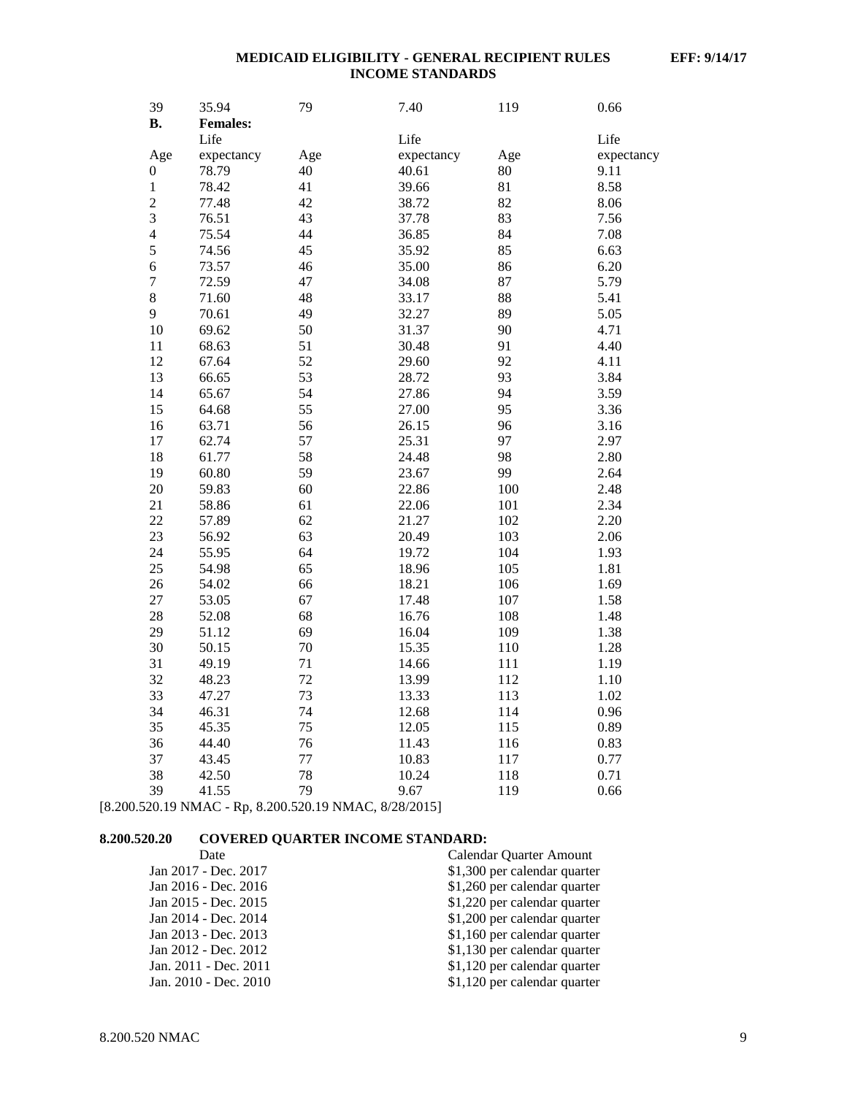| 39                      | 35.94           | 79  | 7.40       | 119 | 0.66       |
|-------------------------|-----------------|-----|------------|-----|------------|
| <b>B.</b>               | <b>Females:</b> |     |            |     |            |
|                         | Life            |     | Life       |     | Life       |
| Age                     | expectancy      | Age | expectancy | Age | expectancy |
| $\boldsymbol{0}$        | 78.79           | 40  | 40.61      | 80  | 9.11       |
| $\mathbf{1}$            | 78.42           | 41  | 39.66      | 81  | 8.58       |
| $\overline{c}$          | 77.48           | 42  | 38.72      | 82  | 8.06       |
| $\overline{\mathbf{3}}$ | 76.51           | 43  | 37.78      | 83  | 7.56       |
| $\overline{\mathbf{4}}$ | 75.54           | 44  | 36.85      | 84  | 7.08       |
| 5                       | 74.56           | 45  | 35.92      | 85  | 6.63       |
| 6                       | 73.57           | 46  | 35.00      | 86  | 6.20       |
| $\overline{7}$          | 72.59           | 47  | 34.08      | 87  | 5.79       |
| 8                       | 71.60           | 48  | 33.17      | 88  | 5.41       |
| 9                       | 70.61           | 49  | 32.27      | 89  | 5.05       |
| 10                      | 69.62           | 50  | 31.37      | 90  | 4.71       |
| 11                      | 68.63           | 51  | 30.48      | 91  | 4.40       |
| 12                      | 67.64           | 52  | 29.60      | 92  | 4.11       |
| 13                      | 66.65           | 53  | 28.72      | 93  | 3.84       |
| 14                      | 65.67           | 54  | 27.86      | 94  | 3.59       |
| 15                      | 64.68           | 55  | 27.00      | 95  | 3.36       |
| 16                      | 63.71           | 56  | 26.15      | 96  | 3.16       |
| 17                      | 62.74           | 57  | 25.31      | 97  | 2.97       |
| 18                      | 61.77           | 58  | 24.48      | 98  | 2.80       |
| 19                      | 60.80           | 59  | 23.67      | 99  | 2.64       |
| 20                      | 59.83           | 60  | 22.86      | 100 | 2.48       |
| 21                      | 58.86           | 61  | 22.06      | 101 | 2.34       |
| 22                      | 57.89           | 62  | 21.27      | 102 | 2.20       |
| 23                      | 56.92           | 63  | 20.49      | 103 | 2.06       |
| 24                      | 55.95           | 64  | 19.72      | 104 | 1.93       |
| 25                      | 54.98           | 65  | 18.96      | 105 | 1.81       |
| 26                      | 54.02           | 66  | 18.21      | 106 | 1.69       |
| 27                      | 53.05           | 67  | 17.48      | 107 | 1.58       |
| 28                      | 52.08           | 68  | 16.76      | 108 | 1.48       |
| 29                      | 51.12           | 69  | 16.04      | 109 | 1.38       |
| 30                      | 50.15           | 70  | 15.35      | 110 | 1.28       |
| 31                      | 49.19           | 71  | 14.66      | 111 | 1.19       |
| 32                      | 48.23           | 72  | 13.99      | 112 | 1.10       |
| 33                      | 47.27           | 73  | 13.33      | 113 | 1.02       |
| 34                      | 46.31           | 74  | 12.68      | 114 | 0.96       |
| 35                      | 45.35           | 75  | 12.05      | 115 | 0.89       |
| 36                      | 44.40           | 76  | 11.43      | 116 | 0.83       |
| 37                      | 43.45           | 77  | 10.83      | 117 | 0.77       |
| 38                      | 42.50           | 78  | 10.24      | 118 | 0.71       |
| 39                      | 41.55           | 79  | 9.67       | 119 | 0.66       |

[8.200.520.19 NMAC - Rp, 8.200.520.19 NMAC, 8/28/2015]

# **8.200.520.20 COVERED QUARTER INCOME STANDARD:**

| Date                  | Calendar Quarter Amount      |
|-----------------------|------------------------------|
| Jan 2017 - Dec. 2017  | \$1,300 per calendar quarter |
| Jan 2016 - Dec. 2016  | \$1,260 per calendar quarter |
| Jan 2015 - Dec. 2015  | \$1,220 per calendar quarter |
| Jan 2014 - Dec. 2014  | \$1,200 per calendar quarter |
| Jan 2013 - Dec. 2013  | \$1,160 per calendar quarter |
| Jan 2012 - Dec. 2012  | \$1,130 per calendar quarter |
| Jan. 2011 - Dec. 2011 | \$1,120 per calendar quarter |
| Jan. 2010 - Dec. 2010 | \$1,120 per calendar quarter |